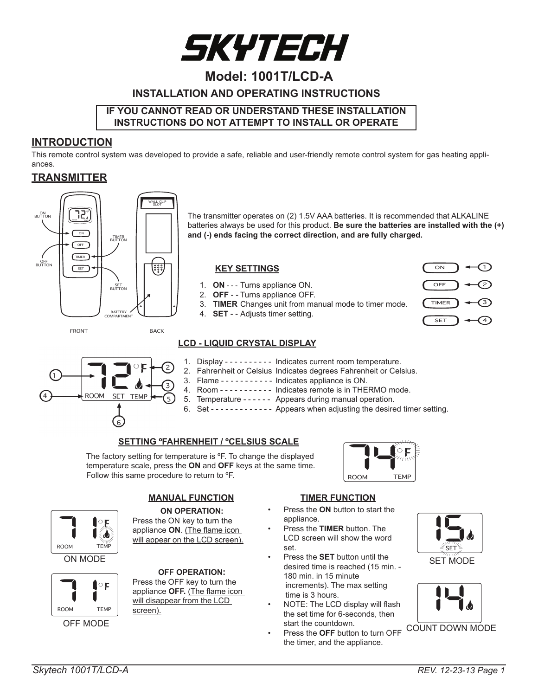

## **Model: 1001T/LCD-A**

## **INSTALLATION AND OPERATING INSTRUCTIONS**

#### **IF YOU CANNOT READ OR UNDERSTAND THESE INSTALLATION INSTRUCTIONS DO NOT ATTEMPT TO INSTALL OR OPERATE**

#### **INTRODUCTION**

This remote control system was developed to provide a safe, reliable and user-friendly remote control system for gas heating appliances.

#### **TRANSMITTER**



The transmitter operates on (2) 1.5V AAA batteries. It is recommended that ALKALINE batteries always be used for this product. **Be sure the batteries are installed with the (+) and (-) ends facing the correct direction, and are fully charged.**

#### **KEY SETTINGS**

- 1. **ON** - Turns appliance ON.
- 2. **OFF** - Turns appliance OFF.
- 3. **TIMER** Changes unit from manual mode to timer mode.
- 4. **SET** - Adjusts timer setting.



FRONT BACK



- **LCD LIQUID CRYSTAL DISPLAY**
	- 1. Display - - - - - Indicates current room temperature.
	- 2. Fahrenheit or Celsius Indicates degrees Fahrenheit or Celsius.
	- 3. Flame - - - - - Indicates appliance is ON.
	- 4. Room - - - - - Indicates remote is in THERMO mode.
	- 5. Temperature - - - Appears during manual operation.
	- 6. Set - - - - - - Appears when adjusting the desired timer setting.

#### **SETTING ºFAHRENHEIT / ºCELSIUS SCALE**

The factory setting for temperature is ºF. To change the displayed temperature scale, press the **ON** and **OFF** keys at the same time. Follow this same procedure to return to ºF.





ON MODE



OFF MODE

## **MANUAL FUNCTION**

**ON OPERATION:** Press the ON key to turn the appliance **ON**. (The flame icon will appear on the LCD screen).

#### **OFF OPERATION:**

Press the OFF key to turn the appliance **OFF.** (The flame icon will disappear from the LCD screen).

#### **TIMER FUNCTION**

- Press the **ON** button to start the appliance.
- Press the **TIMER** button. The LCD screen will show the word set.
- Press the **SET** button until the desired time is reached (15 min. - 180 min. in 15 minute increments). The max setting time is 3 hours.
- NOTE: The LCD display will flash the set time for 6-seconds, then start the countdown.
- Press the **OFF** button to turn OFF the timer, and the appliance.



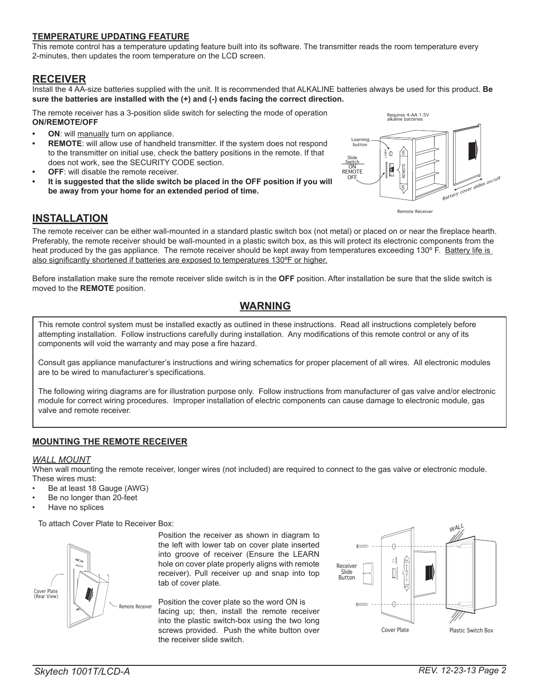#### **TEMPERATURE UPDATING FEATURE**

This remote control has a temperature updating feature built into its software. The transmitter reads the room temperature every 2-minutes, then updates the room temperature on the LCD screen.

### **RECEIVER**

Install the 4 AA-size batteries supplied with the unit. It is recommended that ALKALINE batteries always be used for this product. **Be sure the batteries are installed with the (+) and (-) ends facing the correct direction.**

The remote receiver has a 3-position slide switch for selecting the mode of operation **ON/REMOTE/OFF**

- **ON**: will manually turn on appliance.
- **REMOTE:** will allow use of handheld transmitter. If the system does not respond to the transmitter on initial use, check the battery positions in the remote. If that does not work, see the SECURITY CODE section.
- **OFF:** will disable the remote receiver.
- It is suggested that the slide switch be placed in the OFF position if you will **be away from your home for an extended period of time.**



#### **INSTALLATION**

The remote receiver can be either wall-mounted in a standard plastic switch box (not metal) or placed on or near the fireplace hearth. Preferably, the remote receiver should be wall-mounted in a plastic switch box, as this will protect its electronic components from the heat produced by the gas appliance. The remote receiver should be kept away from temperatures exceeding 130° F. Battery life is also significantly shortened if batteries are exposed to temperatures 130ºF or higher.

Before installation make sure the remote receiver slide switch is in the **OFF** position. After installation be sure that the slide switch is moved to the **REMOTE** position.

## **WARNING**

This remote control system must be installed exactly as outlined in these instructions. Read all instructions completely before attempting installation. Follow instructions carefully during installation. Any modifications of this remote control or any of its components will void the warranty and may pose a fire hazard.

Consult gas appliance manufacturer's instructions and wiring schematics for proper placement of all wires. All electronic modules are to be wired to manufacturer's specifications.

The following wiring diagrams are for illustration purpose only. Follow instructions from manufacturer of gas valve and/or electronic module for correct wiring procedures. Improper installation of electric components can cause damage to electronic module, gas valve and remote receiver.

#### **MOUNTING THE REMOTE RECEIVER**

#### *WALL MOUNT*

When wall mounting the remote receiver, longer wires (not included) are required to connect to the gas valve or electronic module. These wires must:

- Be at least 18 Gauge (AWG)
- Be no longer than 20-feet
- Have no splices

To attach Cover Plate to Receiver Box:



Position the receiver as shown in diagram to the left with lower tab on cover plate inserted into groove of receiver (Ensure the LEARN hole on cover plate properly aligns with remote receiver). Pull receiver up and snap into top tab of cover plate.

Position the cover plate so the word ON is facing up; then, install the remote receiver into the plastic switch-box using the two long screws provided. Push the white button over the receiver slide switch.

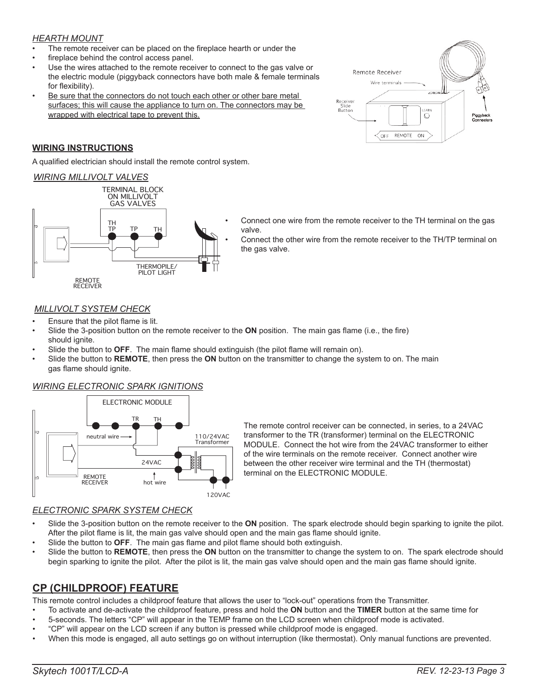#### *HEARTH MOUNT*

- The remote receiver can be placed on the fireplace hearth or under the
- fireplace behind the control access panel.
- Use the wires attached to the remote receiver to connect to the gas valve or the electric module (piggyback connectors have both male & female terminals for flexibility).
- Be sure that the connectors do not touch each other or other bare metal surfaces; this will cause the appliance to turn on. The connectors may be wrapped with electrical tape to prevent this.

#### **WIRING INSTRUCTIONS**

A qualified electrician should install the remote control system.

#### *WIRING MILLIVOLT VALVES*



- Connect one wire from the remote receiver to the TH terminal on the gas valve.
	- Connect the other wire from the remote receiver to the TH/TP terminal on the gas valve.

Remote Receiver Wire terminals

OFF

 $\circ$ 

ON

REMOTE

.<br>Piggyba<br>Connect

Receiv<br>Slide Button

#### *MILLIVOLT SYSTEM CHECK*

- Ensure that the pilot flame is lit.
- Slide the 3-position button on the remote receiver to the **ON** position. The main gas flame (i.e., the fire) should ignite.
- Slide the button to **OFF**. The main flame should extinguish (the pilot flame will remain on).
- Slide the button to **REMOTE**, then press the **ON** button on the transmitter to change the system to on. The main gas flame should ignite.

#### *WIRING ELECTRONIC SPARK IGNITIONS*



The remote control receiver can be connected, in series, to a 24VAC transformer to the TR (transformer) terminal on the ELECTRONIC MODULE. Connect the hot wire from the 24VAC transformer to either of the wire terminals on the remote receiver. Connect another wire between the other receiver wire terminal and the TH (thermostat) terminal on the ELECTRONIC MODULE.

#### *ELECTRONIC SPARK SYSTEM CHECK*

- Slide the 3-position button on the remote receiver to the **ON** position. The spark electrode should begin sparking to ignite the pilot. After the pilot flame is lit, the main gas valve should open and the main gas flame should ignite.
- Slide the button to **OFF**. The main gas flame and pilot flame should both extinguish.
- Slide the button to **REMOTE**, then press the **ON** button on the transmitter to change the system to on. The spark electrode should begin sparking to ignite the pilot. After the pilot is lit, the main gas valve should open and the main gas flame should ignite.

## **CP (CHILDPROOF) FEATURE**

This remote control includes a childproof feature that allows the user to "lock-out" operations from the Transmitter.

- To activate and de-activate the childproof feature, press and hold the **ON** button and the **TIMER** button at the same time for
- 5-seconds. The letters "CP" will appear in the TEMP frame on the LCD screen when childproof mode is activated.
- "CP" will appear on the LCD screen if any button is pressed while childproof mode is engaged.
- When this mode is engaged, all auto settings go on without interruption (like thermostat). Only manual functions are prevented.

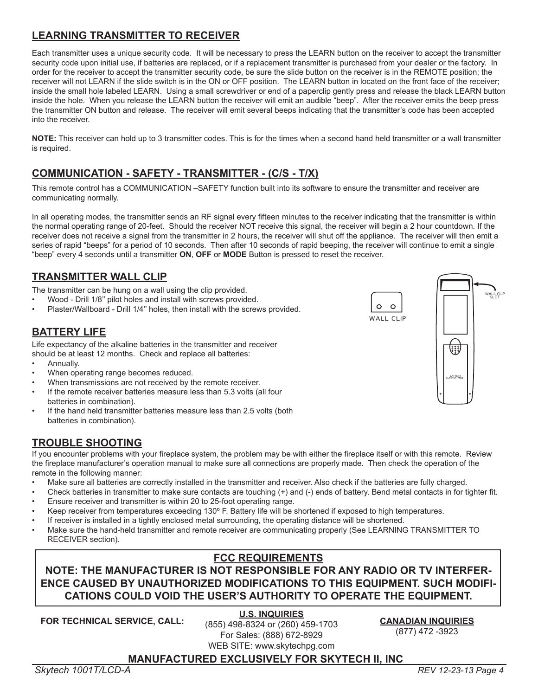## **LEARNING TRANSMITTER TO RECEIVER**

Each transmitter uses a unique security code. It will be necessary to press the LEARN button on the receiver to accept the transmitter security code upon initial use, if batteries are replaced, or if a replacement transmitter is purchased from your dealer or the factory. In order for the receiver to accept the transmitter security code, be sure the slide button on the receiver is in the REMOTE position; the receiver will not LEARN if the slide switch is in the ON or OFF position. The LEARN button in located on the front face of the receiver; inside the small hole labeled LEARN. Using a small screwdriver or end of a paperclip gently press and release the black LEARN button inside the hole. When you release the LEARN button the receiver will emit an audible "beep". After the receiver emits the beep press the transmitter ON button and release. The receiver will emit several beeps indicating that the transmitter's code has been accepted into the receiver.

**NOTE:** This receiver can hold up to 3 transmitter codes. This is for the times when a second hand held transmitter or a wall transmitter is required.

## **COMMUNICATION - SAFETY - TRANSMITTER - (C/S - T/X)**

This remote control has a COMMUNICATION –SAFETY function built into its software to ensure the transmitter and receiver are communicating normally.

In all operating modes, the transmitter sends an RF signal every fifteen minutes to the receiver indicating that the transmitter is within the normal operating range of 20-feet. Should the receiver NOT receive this signal, the receiver will begin a 2 hour countdown. If the receiver does not receive a signal from the transmitter in 2 hours, the receiver will shut off the appliance. The receiver will then emit a series of rapid "beeps" for a period of 10 seconds. Then after 10 seconds of rapid beeping, the receiver will continue to emit a single "beep" every 4 seconds until a transmitter **ON**, **OFF** or **MODE** Button is pressed to reset the receiver.

## **TRANSMITTER WALL CLIP**

The transmitter can be hung on a wall using the clip provided.

- Wood Drill 1/8'' pilot holes and install with screws provided.
- Plaster/Wallboard Drill 1/4'' holes, then install with the screws provided.

## **BATTERY LIFE**

Life expectancy of the alkaline batteries in the transmitter and receiver should be at least 12 months. Check and replace all batteries:

- Annually.
- When operating range becomes reduced.
- When transmissions are not received by the remote receiver.
- If the remote receiver batteries measure less than 5.3 volts (all four batteries in combination).
- If the hand held transmitter batteries measure less than 2.5 volts (both batteries in combination).

## **TROUBLE SHOOTING**

If you encounter problems with your fireplace system, the problem may be with either the fireplace itself or with this remote. Review the fireplace manufacturer's operation manual to make sure all connections are properly made. Then check the operation of the remote in the following manner:

- Make sure all batteries are correctly installed in the transmitter and receiver. Also check if the batteries are fully charged.
- Check batteries in transmitter to make sure contacts are touching (+) and (-) ends of battery. Bend metal contacts in for tighter fit. • Ensure receiver and transmitter is within 20 to 25-foot operating range.
- 
- Keep receiver from temperatures exceeding 130º F. Battery life will be shortened if exposed to high temperatures.
- If receiver is installed in a tightly enclosed metal surrounding, the operating distance will be shortened.
- Make sure the hand-held transmitter and remote receiver are communicating properly (See LEARNING TRANSMITTER TO RECEIVER section).

## **FCC REQUIREMENTS**

## **NOTE: THE MANUFACTURER IS NOT RESPONSIBLE FOR ANY RADIO OR TV INTERFER-ENCE CAUSED BY UNAUTHORIZED MODIFICATIONS TO THIS EQUIPMENT. SUCH MODIFI-CATIONS COULD VOID THE USER'S AUTHORITY TO OPERATE THE EQUIPMENT.**

**FOR TECHNICAL SERVICE, CALL:**

**U.S. INQUIRIES** (855) 498-8324 or (260) 459-1703 For Sales: (888) 672-8929 WEB SITE: www.skytechpg.com

## **CANADIAN INQUIRIES**

(877) 472 -3923

 $\circ$ WALL CLIP (;;;)

 $\circ$ 

BATTERY COMPARTMENT

WALL CLIP SLOT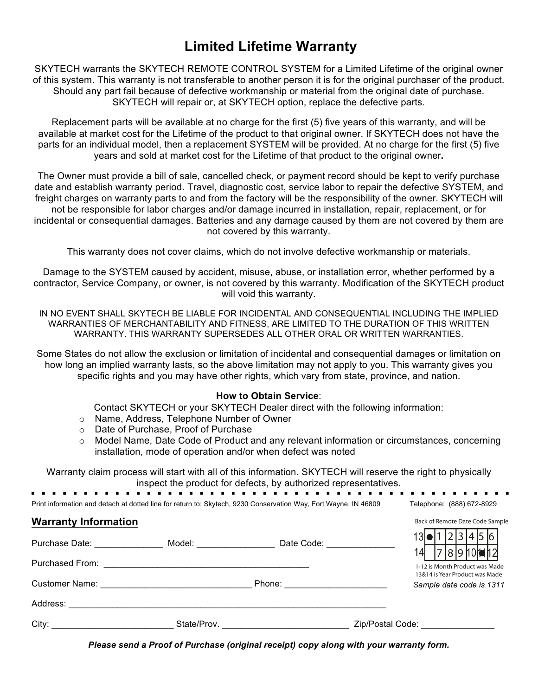## **Limited Lifetime Warranty**

SKYTECH warrants the SKYTECH REMOTE CONTROL SYSTEM for a Limited Lifetime of the original owner of this system. This warranty is not transferable to another person it is for the original purchaser of the product. Should any part fail because of defective workmanship or material from the original date of purchase. SKYTECH will repair or, at SKYTECH option, replace the defective parts.

Replacement parts will be available at no charge for the first (5) five years of this warranty, and will be available at market cost for the Lifetime of the product to that original owner. If SKYTECH does not have the parts for an individual model, then a replacement SYSTEM will be provided. At no charge for the first (5) five years and sold at market cost for the Lifetime of that product to the original owner**.**

The Owner must provide a bill of sale, cancelled check, or payment record should be kept to verify purchase date and establish warranty period. Travel, diagnostic cost, service labor to repair the defective SYSTEM, and freight charges on warranty parts to and from the factory will be the responsibility of the owner. SKYTECH will not be responsible for labor charges and/or damage incurred in installation, repair, replacement, or for incidental or consequential damages. Batteries and any damage caused by them are not covered by them are not covered by this warranty.

This warranty does not cover claims, which do not involve defective workmanship or materials.

Damage to the SYSTEM caused by accident, misuse, abuse, or installation error, whether performed by a contractor, Service Company, or owner, is not covered by this warranty. Modification of the SKYTECH product will void this warranty.

IN NO EVENT SHALL SKYTECH BE LIABLE FOR INCIDENTAL AND CONSEQUENTIAL INCLUDING THE IMPLIED WARRANTIES OF MERCHANTABILITY AND FITNESS, ARE LIMITED TO THE DURATION OF THIS WRITTEN WARRANTY. THIS WARRANTY SUPERSEDES ALL OTHER ORAL OR WRITTEN WARRANTIES.

Some States do not allow the exclusion or limitation of incidental and consequential damages or limitation on how long an implied warranty lasts, so the above limitation may not apply to you. This warranty gives you specific rights and you may have other rights, which vary from state, province, and nation.

#### **How to Obtain Service**:

Contact SKYTECH or your SKYTECH Dealer direct with the following information:

- o Name, Address, Telephone Number of Owner
- o Date of Purchase, Proof of Purchase
- o Model Name, Date Code of Product and any relevant information or circumstances, concerning installation, mode of operation and/or when defect was noted

 $\alpha$  ,  $\alpha$  ,  $\alpha$ 

. . . . .

Back of Remote Date Code Sample  $\overline{a}$  ,  $\overline{a}$  ,  $\overline{a}$  ,  $\overline{a}$  ,  $\overline{a}$  ,  $\overline{a}$  ,  $\overline{a}$  ,  $\overline{a}$  ,  $\overline{a}$  ,  $\overline{a}$  ,  $\overline{a}$  ,  $\overline{a}$  ,  $\overline{a}$  ,  $\overline{a}$  ,  $\overline{a}$  ,  $\overline{a}$  ,  $\overline{a}$  ,  $\overline{a}$  ,  $\overline{a}$  ,  $\overline{a}$  ,

Warranty claim process will start with all of this information. SKYTECH will reserve the right to physically inspect the product for defects, by authorized representatives.

| Print information and detach at dotted line for return to: Skytech. 9230 Conservation Way. Fort Wayne. IN 46809 |  | Telephone: (888) 672-8929 |
|-----------------------------------------------------------------------------------------------------------------|--|---------------------------|

#### **Warranty Information**

| Purchase Date: Noted that the set of the set of the set of the set of the set of the set of the set of the set of the set of the set of the set of the set of the set of the set of the set of the set of the set of the set o | Model: with a series of the series of the series of the series of the series of the series of the series of the | Date Code: <u>______________</u> | 130 12345 61<br>l8l9h0 <b>l⊌</b> h2l                             |
|--------------------------------------------------------------------------------------------------------------------------------------------------------------------------------------------------------------------------------|-----------------------------------------------------------------------------------------------------------------|----------------------------------|------------------------------------------------------------------|
|                                                                                                                                                                                                                                |                                                                                                                 |                                  | 1-12 is Month Product was Made<br>13&14 is Year Product was Made |
|                                                                                                                                                                                                                                |                                                                                                                 | Phone: <u>________________</u>   | Sample date code is 1311                                         |
|                                                                                                                                                                                                                                |                                                                                                                 |                                  |                                                                  |
| City:                                                                                                                                                                                                                          | State/Prov.                                                                                                     |                                  | Zip/Postal Code:                                                 |

*Please send a Proof of Purchase (original receipt) copy along with your warranty form.*